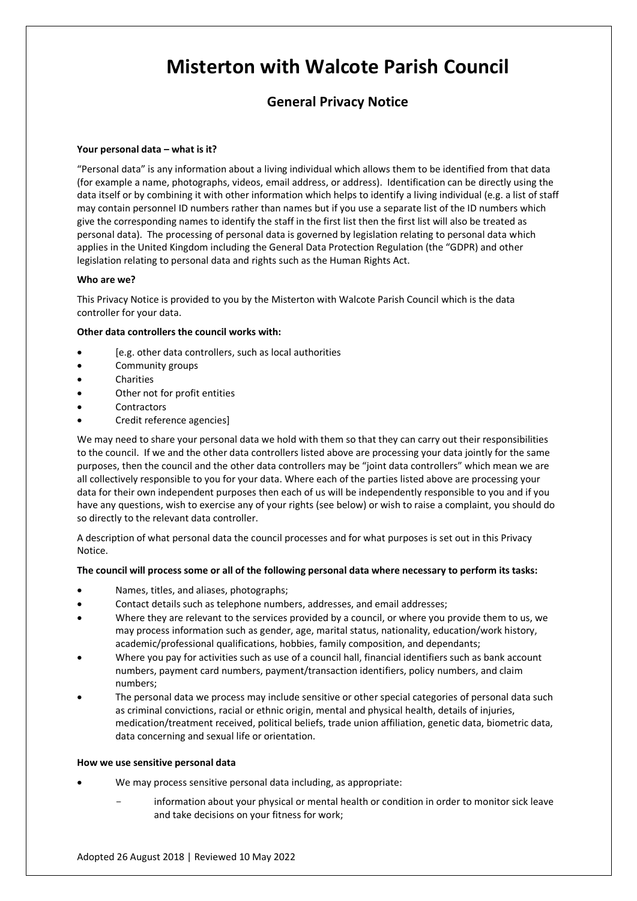# **Misterton with Walcote Parish Council**

# **General Privacy Notice**

# **Your personal data – what is it?**

"Personal data" is any information about a living individual which allows them to be identified from that data (for example a name, photographs, videos, email address, or address). Identification can be directly using the data itself or by combining it with other information which helps to identify a living individual (e.g. a list of staff may contain personnel ID numbers rather than names but if you use a separate list of the ID numbers which give the corresponding names to identify the staff in the first list then the first list will also be treated as personal data). The processing of personal data is governed by legislation relating to personal data which applies in the United Kingdom including the General Data Protection Regulation (the "GDPR) and other legislation relating to personal data and rights such as the Human Rights Act.

# **Who are we?**

This Privacy Notice is provided to you by the Misterton with Walcote Parish Council which is the data controller for your data.

# **Other data controllers the council works with:**

- [e.g. other data controllers, such as local authorities
- Community groups
- **Charities**
- Other not for profit entities
- **Contractors**
- Credit reference agencies]

We may need to share your personal data we hold with them so that they can carry out their responsibilities to the council. If we and the other data controllers listed above are processing your data jointly for the same purposes, then the council and the other data controllers may be "joint data controllers" which mean we are all collectively responsible to you for your data. Where each of the parties listed above are processing your data for their own independent purposes then each of us will be independently responsible to you and if you have any questions, wish to exercise any of your rights (see below) or wish to raise a complaint, you should do so directly to the relevant data controller.

A description of what personal data the council processes and for what purposes is set out in this Privacy Notice.

# **The council will process some or all of the following personal data where necessary to perform its tasks:**

- Names, titles, and aliases, photographs;
- Contact details such as telephone numbers, addresses, and email addresses;
- Where they are relevant to the services provided by a council, or where you provide them to us, we may process information such as gender, age, marital status, nationality, education/work history, academic/professional qualifications, hobbies, family composition, and dependants;
- Where you pay for activities such as use of a council hall, financial identifiers such as bank account numbers, payment card numbers, payment/transaction identifiers, policy numbers, and claim numbers;
- The personal data we process may include sensitive or other special categories of personal data such as criminal convictions, racial or ethnic origin, mental and physical health, details of injuries, medication/treatment received, political beliefs, trade union affiliation, genetic data, biometric data, data concerning and sexual life or orientation.

# **How we use sensitive personal data**

- We may process sensitive personal data including, as appropriate:
	- information about your physical or mental health or condition in order to monitor sick leave and take decisions on your fitness for work;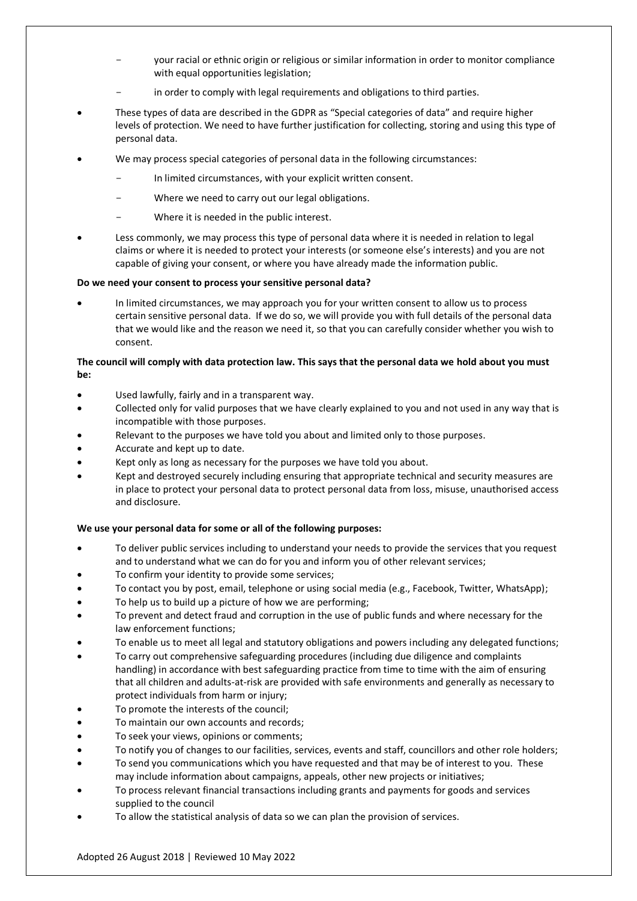- your racial or ethnic origin or religious or similar information in order to monitor compliance with equal opportunities legislation;
- in order to comply with legal requirements and obligations to third parties.
- These types of data are described in the GDPR as "Special categories of data" and require higher levels of protection. We need to have further justification for collecting, storing and using this type of personal data.
- We may process special categories of personal data in the following circumstances:
	- In limited circumstances, with your explicit written consent.
	- Where we need to carry out our legal obligations.
	- Where it is needed in the public interest.
- Less commonly, we may process this type of personal data where it is needed in relation to legal claims or where it is needed to protect your interests (or someone else's interests) and you are not capable of giving your consent, or where you have already made the information public.

# **Do we need your consent to process your sensitive personal data?**

• In limited circumstances, we may approach you for your written consent to allow us to process certain sensitive personal data. If we do so, we will provide you with full details of the personal data that we would like and the reason we need it, so that you can carefully consider whether you wish to consent.

# **The council will comply with data protection law. This says that the personal data we hold about you must be:**

- Used lawfully, fairly and in a transparent way.
- Collected only for valid purposes that we have clearly explained to you and not used in any way that is incompatible with those purposes.
- Relevant to the purposes we have told you about and limited only to those purposes.
- Accurate and kept up to date.
- Kept only as long as necessary for the purposes we have told you about.
- Kept and destroyed securely including ensuring that appropriate technical and security measures are in place to protect your personal data to protect personal data from loss, misuse, unauthorised access and disclosure.

# **We use your personal data for some or all of the following purposes:**

- To deliver public services including to understand your needs to provide the services that you request and to understand what we can do for you and inform you of other relevant services;
- To confirm your identity to provide some services;
- To contact you by post, email, telephone or using social media (e.g., Facebook, Twitter, WhatsApp);
- To help us to build up a picture of how we are performing;
- To prevent and detect fraud and corruption in the use of public funds and where necessary for the law enforcement functions;
- To enable us to meet all legal and statutory obligations and powers including any delegated functions;
- To carry out comprehensive safeguarding procedures (including due diligence and complaints handling) in accordance with best safeguarding practice from time to time with the aim of ensuring that all children and adults-at-risk are provided with safe environments and generally as necessary to protect individuals from harm or injury;
- To promote the interests of the council;
- To maintain our own accounts and records;
- To seek your views, opinions or comments;
- To notify you of changes to our facilities, services, events and staff, councillors and other role holders;
- To send you communications which you have requested and that may be of interest to you. These may include information about campaigns, appeals, other new projects or initiatives;
- To process relevant financial transactions including grants and payments for goods and services supplied to the council
- To allow the statistical analysis of data so we can plan the provision of services.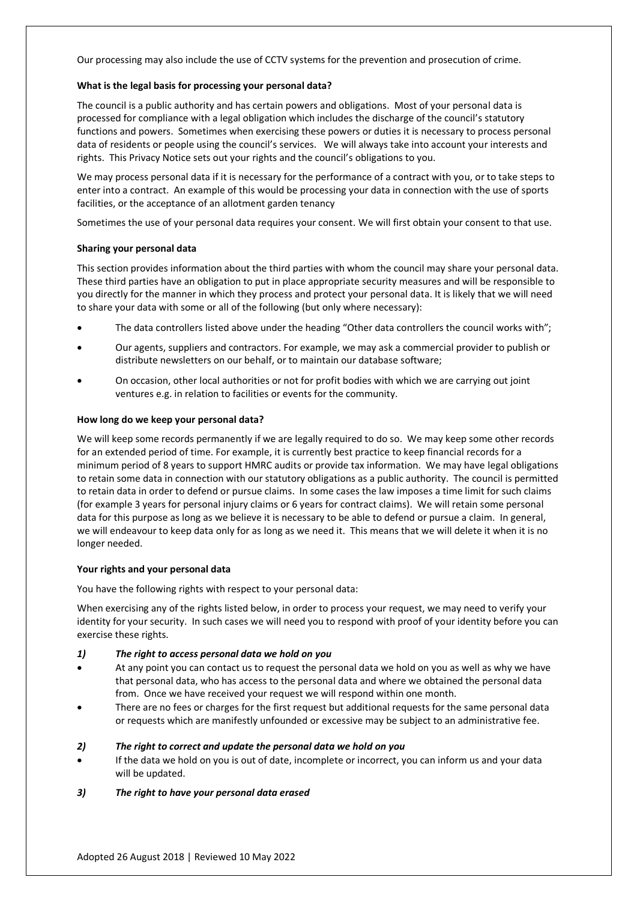Our processing may also include the use of CCTV systems for the prevention and prosecution of crime.

### **What is the legal basis for processing your personal data?**

The council is a public authority and has certain powers and obligations. Most of your personal data is processed for compliance with a legal obligation which includes the discharge of the council's statutory functions and powers. Sometimes when exercising these powers or duties it is necessary to process personal data of residents or people using the council's services. We will always take into account your interests and rights. This Privacy Notice sets out your rights and the council's obligations to you.

We may process personal data if it is necessary for the performance of a contract with you, or to take steps to enter into a contract. An example of this would be processing your data in connection with the use of sports facilities, or the acceptance of an allotment garden tenancy

Sometimes the use of your personal data requires your consent. We will first obtain your consent to that use.

#### **Sharing your personal data**

This section provides information about the third parties with whom the council may share your personal data. These third parties have an obligation to put in place appropriate security measures and will be responsible to you directly for the manner in which they process and protect your personal data. It is likely that we will need to share your data with some or all of the following (but only where necessary):

- The data controllers listed above under the heading "Other data controllers the council works with";
- Our agents, suppliers and contractors. For example, we may ask a commercial provider to publish or distribute newsletters on our behalf, or to maintain our database software;
- On occasion, other local authorities or not for profit bodies with which we are carrying out joint ventures e.g. in relation to facilities or events for the community.

#### **How long do we keep your personal data?**

We will keep some records permanently if we are legally required to do so. We may keep some other records for an extended period of time. For example, it is currently best practice to keep financial records for a minimum period of 8 years to support HMRC audits or provide tax information. We may have legal obligations to retain some data in connection with our statutory obligations as a public authority. The council is permitted to retain data in order to defend or pursue claims. In some cases the law imposes a time limit for such claims (for example 3 years for personal injury claims or 6 years for contract claims). We will retain some personal data for this purpose as long as we believe it is necessary to be able to defend or pursue a claim. In general, we will endeavour to keep data only for as long as we need it. This means that we will delete it when it is no longer needed.

#### **Your rights and your personal data**

You have the following rights with respect to your personal data:

When exercising any of the rights listed below, in order to process your request, we may need to verify your identity for your security. In such cases we will need you to respond with proof of your identity before you can exercise these rights.

#### *1) The right to access personal data we hold on you*

- At any point you can contact us to request the personal data we hold on you as well as why we have that personal data, who has access to the personal data and where we obtained the personal data from. Once we have received your request we will respond within one month.
- There are no fees or charges for the first request but additional requests for the same personal data or requests which are manifestly unfounded or excessive may be subject to an administrative fee.

#### *2) The right to correct and update the personal data we hold on you*

• If the data we hold on you is out of date, incomplete or incorrect, you can inform us and your data will be updated.

# *3) The right to have your personal data erased*